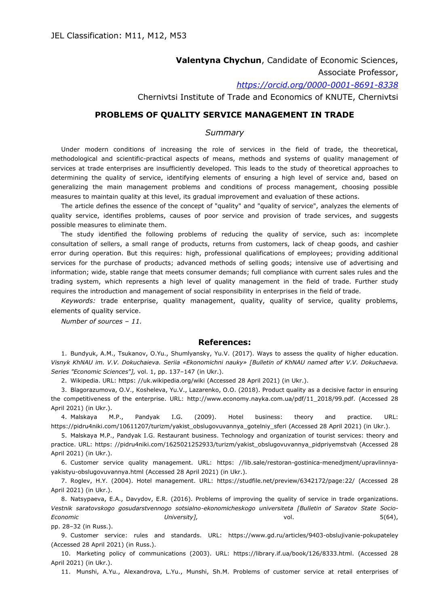**Valentyna Chychun**, Candidate of Economic Sciences,

Associate Professor,

*<https://orcid.org/0000-0001-8691-8338>*

Chernivtsi Institute of Trade and Economics of KNUTE, Chernivtsi

## **PROBLEMS OF QUALITY SERVICE MANAGEMENT IN TRADE**

## *Summary*

Under modern conditions of increasing the role of services in the field of trade, the theoretical, methodological and scientific-practical aspects of means, methods and systems of quality management of services at trade enterprises are insufficiently developed. This leads to the study of theoretical approaches to determining the quality of service, identifying elements of ensuring a high level of service and, based on generalizing the main management problems and conditions of process management, choosing possible measures to maintain quality at this level, its gradual improvement and evaluation of these actions.

The article defines the essence of the concept of "quality" and "quality of service", analyzes the elements of quality service, identifies problems, causes of poor service and provision of trade services, and suggests possible measures to eliminate them.

The study identified the following problems of reducing the quality of service, such as: incomplete consultation of sellers, a small range of products, returns from customers, lack of cheap goods, and cashier error during operation. But this requires: high, professional qualifications of employees; providing additional services for the purchase of products; advanced methods of selling goods; intensive use of advertising and information; wide, stable range that meets consumer demands; full compliance with current sales rules and the trading system, which represents a high level of quality management in the field of trade. Further study requires the introduction and management of social responsibility in enterprises in the field of trade.

*Keywords:* trade enterprise, quality management, quality, quality of service, quality problems, elements of quality service.

*Number of sources – 11.*

## **References:**

1. Bundyuk, A.M., Tsukanov, O.Yu., Shumlyansky, Yu.V. (2017). Ways to assess the quality of higher education. *Visnyk KhNAU im. V.V. Dokuchaieva. Seriia «Ekonomichni nauky» [Bulletin of KhNAU named after V.V. Dokuchaeva. Series "Economic Sciences"],* vol. 1, pp. 137–147 (in Ukr.).

2. Wikipedia. URL: https: //uk.wikipedia.org/wiki (Accessed 28 April 2021) (in Ukr.).

3. Blagorazumova, O.V., Kosheleva, Yu.V., Lazarenko, O.O. (2018). Product quality as a decisive factor in ensuring the competitiveness of the enterprise. URL: http://www.economy.nayka.com.ua/pdf/11\_2018/99.pdf. (Accessed 28 April 2021) (in Ukr.).

4. Malskaya M.P., Pandyak I.G. (2009). Hotel business: theory and practice. URL: https://pidru4niki.com/10611207/turizm/yakist\_obslugovuvannya\_gotelniy\_sferi (Accessed 28 April 2021) (in Ukr.).

5. Malskaya M.P., Pandyak I.G. Restaurant business. Technology and organization of tourist services: theory and practice. URL: https: //pidru4niki.com/1625021252933/turizm/yakist\_obslugovuvannya\_pidpriyemstvah (Accessed 28 April 2021) (in Ukr.).

6. Customer service quality management. URL: https: //lib.sale/restoran-gostinica-menedjment/upravlinnyayakistyu-obslugovuvannya.html (Accessed 28 April 2021) (in Ukr.).

7. Roglev, H.Y. (2004). Hotel management. URL: https://studfile.net/preview/6342172/page:22/ (Accessed 28 April 2021) (in Ukr.).

8. Natsypaeva, E.A., Davydov, E.R. (2016). Problems of improving the quality of service in trade organizations. *Vestnik saratovskogo gosudarstvennogo sotsialno-ekonomicheskogo universiteta [Bulletin of Saratov State Socio-Economic University],* vol. 5(64),

pp. 28–32 (in Russ.).

9. Customer service: rules and standards. URL: https://www.gd.ru/articles/9403-obslujivanie-pokupateley (Accessed 28 April 2021) (in Russ.).

10. Marketing policy of communications (2003). URL: https://library.if.ua/book/126/8333.html. (Accessed 28 April 2021) (in Ukr.).

11. Munshi, A.Yu., Alexandrova, L.Yu., Munshi, Sh.M. Problems of customer service at retail enterprises of